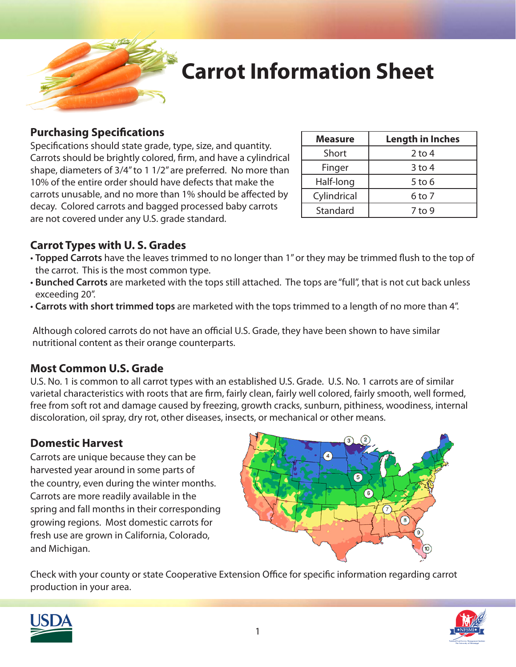

## **Carrot Information Sheet**

#### **Purchasing Specifications**

Specifications should state grade, type, size, and quantity. Carrots should be brightly colored, firm, and have a cylindrical shape, diameters of 3/4" to 1 1/2" are preferred. No more than 10% of the entire order should have defects that make the carrots unusable, and no more than 1% should be affected by decay. Colored carrots and bagged processed baby carrots are not covered under any U.S. grade standard.

| <b>Measure</b> | <b>Length in Inches</b> |
|----------------|-------------------------|
| Short          | 2 to 4                  |
| Finger         | 3 to 4                  |
| Half-long      | 5 to 6                  |
| Cylindrical    | 6 to 7                  |
| Standard       | 7 to 9                  |

### **Carrot Types with U. S. Grades**

- **Topped Carrots** have the leaves trimmed to no longer than 1" or they may be trimmed flush to the top of the carrot. This is the most common type.
- **Bunched Carrots** are marketed with the tops still attached. The tops are "full", that is not cut back unless exceeding 20".
- **Carrots with short trimmed tops** are marketed with the tops trimmed to a length of no more than 4".

Although colored carrots do not have an official U.S. Grade, they have been shown to have similar nutritional content as their orange counterparts.

### **Most Common U.S. Grade**

U.S. No. 1 is common to all carrot types with an established U.S. Grade. U.S. No. 1 carrots are of similar varietal characteristics with roots that are firm, fairly clean, fairly well colored, fairly smooth, well formed, free from soft rot and damage caused by freezing, growth cracks, sunburn, pithiness, woodiness, internal discoloration, oil spray, dry rot, other diseases, insects, or mechanical or other means.

### **Domestic Harvest**

Carrots are unique because they can be harvested year around in some parts of the country, even during the winter months. Carrots are more readily available in the spring and fall months in their corresponding growing regions. Most domestic carrots for fresh use are grown in California, Colorado, and Michigan.



Check with your county or state Cooperative Extension Office for specific information regarding carrot production in your area.